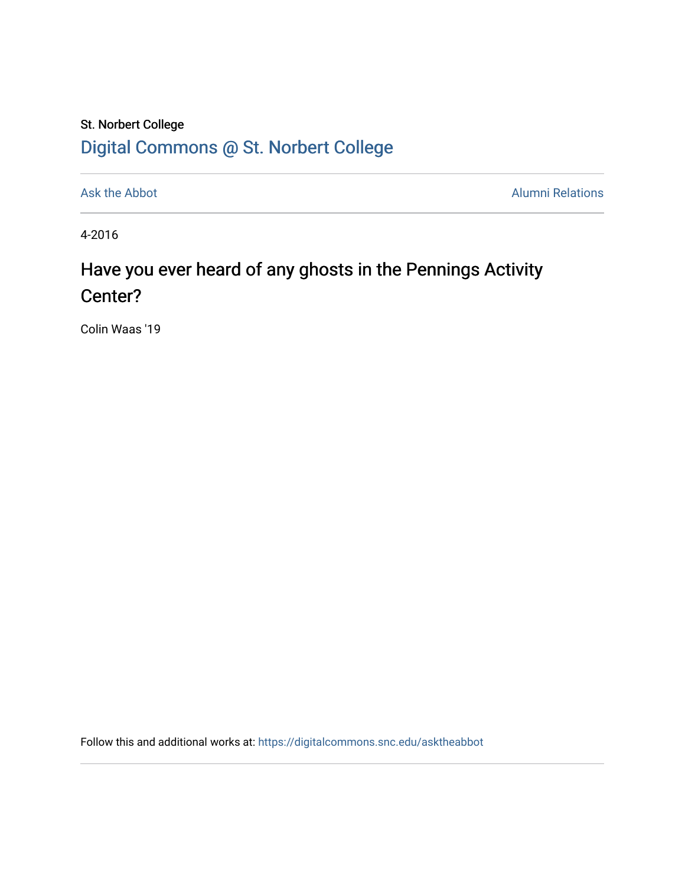## St. Norbert College [Digital Commons @ St. Norbert College](https://digitalcommons.snc.edu/)

[Ask the Abbot](https://digitalcommons.snc.edu/asktheabbot) **Alumni Relations** Alumni Relations

4-2016

## Have you ever heard of any ghosts in the Pennings Activity Center?

Colin Waas '19

Follow this and additional works at: [https://digitalcommons.snc.edu/asktheabbot](https://digitalcommons.snc.edu/asktheabbot?utm_source=digitalcommons.snc.edu%2Fasktheabbot%2F151&utm_medium=PDF&utm_campaign=PDFCoverPages)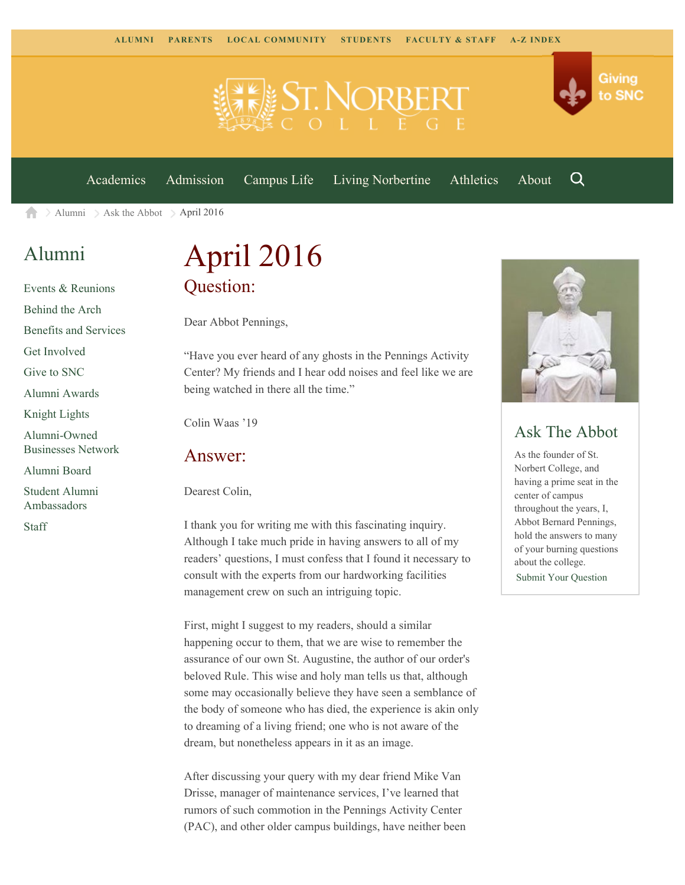

[Academics](https://www.snc.edu/academics) [Admission](https://www.snc.edu/admission) [Campus Life](https://www.snc.edu/campuslife) [Living Norbertine](https://www.snc.edu/livingnorbertine) [Athletics](https://www.snc.edu/athletics) [About](https://www.snc.edu/about)

Q

Giving

to SNC

 $\ge$  [Alumni](https://www.snc.edu/alumni/)  $\ge$  [Ask the Abbot](https://www.snc.edu/alumni/abbot/)  $\ge$  April 2016 A

## [Alumni](https://www.snc.edu/alumni/index.html)

[Events & Reunions](https://www.snc.edu/alumni/event/index.html) [Behind the Arch](https://www.snc.edu/alumni/event/behindthearch/) [Benefits and Services](https://www.snc.edu/alumni/benefits.html) [Get Involved](https://www.snc.edu/alumni/getinvolved.html) [Give to SNC](http://giving.snc.edu/) [Alumni Awards](https://www.snc.edu/alumni/awards/index.html) [Knight Lights](https://www.snc.edu/alumni/knightlights/index.html) [Alumni-Owned](https://www.snc.edu/alumni/directory/index.html) [Businesses Network](https://www.snc.edu/alumni/directory/index.html) [Alumni Board](https://www.snc.edu/alumni/alumniboard.html) [Student Alumni](https://www.snc.edu/alumni/saa.html) [Ambassadors](https://www.snc.edu/alumni/saa.html) [Staff](https://www.snc.edu/alumni/contactus.html)

# April 2016 Question:

Dear Abbot Pennings,

"Have you ever heard of any ghosts in the Pennings Activity Center? My friends and I hear odd noises and feel like we are being watched in there all the time."

Colin Waas '19

#### Answer:

Dearest Colin,

I thank you for writing me with this fascinating inquiry. Although I take much pride in having answers to all of my readers' questions, I must confess that I found it necessary to consult with the experts from our hardworking facilities management crew on such an intriguing topic.

First, might I suggest to my readers, should a similar happening occur to them, that we are wise to remember the assurance of our own St. Augustine, the author of our order's beloved Rule. This wise and holy man tells us that, although some may occasionally believe they have seen a semblance of the body of someone who has died, the experience is akin only to dreaming of a living friend; one who is not aware of the dream, but nonetheless appears in it as an image.

After discussing your query with my dear friend Mike Van Drisse, manager of maintenance services, I've learned that rumors of such commotion in the Pennings Activity Center (PAC), and other older campus buildings, have neither been



### Ask The Abbot

As the founder of St. Norbert College, and having a prime seat in the center of campus throughout the years, I, Abbot Bernard Pennings, hold the answers to many of your burning questions about the college. [Submit Your Question](https://www.snc.edu/alumni/abbot/index.html)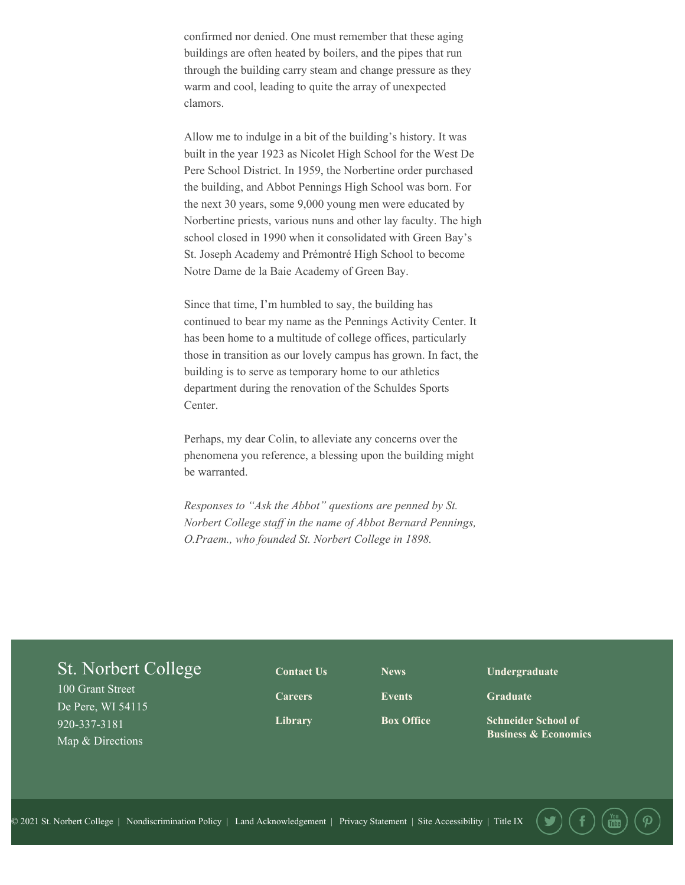confirmed nor denied. One must remember that these aging buildings are often heated by boilers, and the pipes that run through the building carry steam and change pressure as they warm and cool, leading to quite the array of unexpected clamors.

Allow me to indulge in a bit of the building's history. It was built in the year 1923 as Nicolet High School for the West De Pere School District. In 1959, the Norbertine order purchased the building, and Abbot Pennings High School was born. For the next 30 years, some 9,000 young men were educated by Norbertine priests, various nuns and other lay faculty. The high school closed in 1990 when it consolidated with Green Bay's St. Joseph Academy and Prémontré High School to become Notre Dame de la Baie Academy of Green Bay.

Since that time, I'm humbled to say, the building has continued to bear my name as the Pennings Activity Center. It has been home to a multitude of college offices, particularly those in transition as our lovely campus has grown. In fact, the building is to serve as temporary home to our athletics department during the renovation of the Schuldes Sports Center.

Perhaps, my dear Colin, to alleviate any concerns over the phenomena you reference, a blessing upon the building might be warranted.

*Responses to "Ask the Abbot" questions are penned by St. Norbert College staff in the name of Abbot Bernard Pennings, O.Praem., who founded St. Norbert College in 1898.*

### St. Norbert College

100 Grant Street De Pere, WI 54115 920-337-3181 Map & Directions

**[Contact Us](http://www.snc.edu/about/contactus.html) [Careers](https://www.snc.edu/hr/openpositions.html) [Library](http://www.snc.edu/library/)**

**[News](http://www.snc.edu/news/) [Events](http://snc.edu/go/mc)**

**[Box Office](http://www.snc.edu/tickets/)**

**[Undergraduate](http://www.snc.edu/academics/programsanddegrees.html)**

**[Graduate](http://www.snc.edu/academics/graduateprograms.html)**

**[Schneider School of](http://www.snc.edu/schneiderschool/) [Business & Economics](http://www.snc.edu/schneiderschool/)**